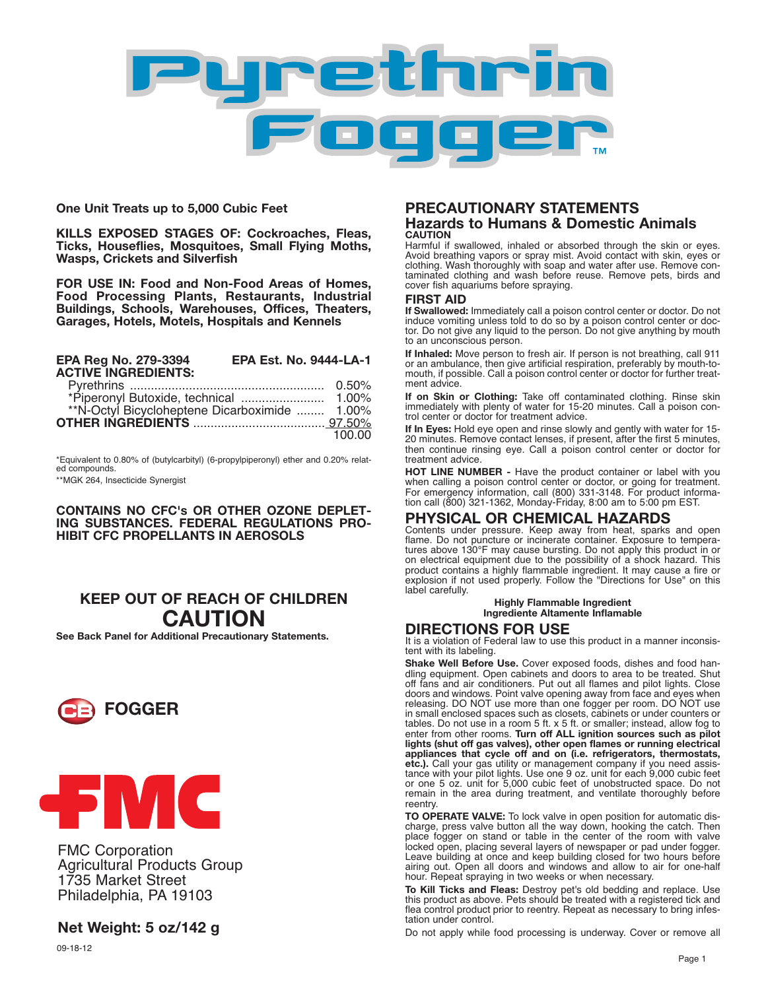

**One Unit Treats up to 5,000 Cubic Feet**

**KILLS EXPOSED STAGES OF: Cockroaches, Fleas, Ticks, Houseflies, Mosquitoes, Small Flying Moths, Wasps, Crickets and Silverfish**

**FOR USE IN: Food and Non-Food Areas of Homes, Food Processing Plants, Restaurants, Industrial Buildings, Schools, Warehouses, Offices, Theaters, Garages, Hotels, Motels, Hospitals and Kennels**

| EPA Reg No. 279-3394<br><b>ACTIVE INGREDIENTS:</b> | <b>EPA Est. No. 9444-LA-1</b> |        |
|----------------------------------------------------|-------------------------------|--------|
|                                                    |                               |        |
|                                                    |                               |        |
|                                                    |                               |        |
|                                                    |                               |        |
|                                                    |                               | 100.00 |

\*Equivalent to 0.80% of (butylcarbityl) (6-propylpiperonyl) ether and 0.20% relat- ed compounds. \*\*MGK 264, Insecticide Synergist

**CONTAINS NO CFC's OR OTHER OZONE DEPLET-ING SUBSTANCES. FEDERAL REGULATIONS PRO-HIBIT CFC PROPELLANTS IN AEROSOLS**

## **KEEP OUT OF REACH OF CHILDREN CAUTION**

**See Back Panel for Additional Precautionary Statements.**





FMC Corporation Agricultural Products Group 1735 Market Street Philadelphia, PA 19103

# **Net Weight: 5 oz/142 g**

09-18-12

#### **PRECAUTIONARY STATEMENTS Hazards to Humans & Domestic Animals CAUTION**

Harmful if swallowed, inhaled or absorbed through the skin or eyes. Avoid breathing vapors or spray mist. Avoid contact with skin, eyes or clothing. Wash thoroughly with soap and water after use. Remove contaminated clothing and wash before reuse. Remove pets, birds and cover fish aquariums before spraying.

#### **FIRST AID**

**If Swallowed:** Immediately call a poison control center or doctor. Do not induce vomiting unless told to do so by a poison control center or doctor. Do not give any liquid to the person. Do not give anything by mouth to an unconscious person.

**If Inhaled:** Move person to fresh air. If person is not breathing, call 911 or an ambulance, then give artificial respiration, preferably by mouth-tomouth, if possible. Call a poison control center or doctor for further treatment advice.

**If on Skin or Clothing:** Take off contaminated clothing. Rinse skin immediately with plenty of water for 15-20 minutes. Call a poison control center or doctor for treatment advice.

**If In Eyes:** Hold eye open and rinse slowly and gently with water for 15- 20 minutes. Remove contact lenses, if present, after the first 5 minutes, then continue rinsing eye. Call a poison control center or doctor for treatment advice.

**HOT LINE NUMBER -** Have the product container or label with you when calling a poison control center or doctor, or going for treatment. For emergency information, call (800) 331-3148. For product information call (800) 321-1362, Monday-Friday, 8:00 am to 5:00 pm EST.

### **PHYSICAL OR CHEMICAL HAZARDS**

Contents under pressure. Keep away from heat, sparks and open flame. Do not puncture or incinerate container. Exposure to temperatures above 130°F may cause bursting. Do not apply this product in or on electrical equipment due to the possibility of a shock hazard. This product contains a highly flammable ingredient. It may cause a fire or explosion if not used properly. Follow the "Directions for Use" on this label carefully.

> **Highly Flammable Ingredient Ingrediente Altamente Inflamable**

### **DIRECTIONS FOR USE**

It is a violation of Federal law to use this product in a manner inconsistent with its labeling.

**Shake Well Before Use.** Cover exposed foods, dishes and food handling equipment. Open cabinets and doors to area to be treated. Shut off fans and air conditioners. Put out all flames and pilot lights. Close doors and windows. Point valve opening away from face and eyes when releasing. DO NOT use more than one fogger per room. DO NOT use in small enclosed spaces such as closets, cabinets or under counters or tables. Do not use in a room 5 ft. x 5 ft. or smaller; instead, allow fog to<br>enter from other rooms. **Turn off ALL ignition sources such as pilot**<br>l**ights (shut off gas valves), other open flames or running electrical appliances that cycle off and on (i.e. refrigerators, thermostats, etc.).** Call your gas utility or management company if you need assistance with your pilot lights. Use one 9 oz. unit for each 9,000 cubic feet or one 5 oz. unit for 5,000 cubic feet of unobstructed space. Do not remain in the area during treatment, and ventilate thoroughly before reentry.

**TO OPERATE VALVE:** To lock valve in open position for automatic discharge, press valve button all the way down, hooking the catch. Then place fogger on stand or table in the center of the room with valve locked open, placing several layers of newspaper or pad under fogger. Leave building at once and keep building closed for two hours before airing out. Open all doors and windows and allow to air for one-half hour. Repeat spraying in two weeks or when necessary.

**To Kill Ticks and Fleas:** Destroy pet's old bedding and replace. Use this product as above. Pets should be treated with a registered tick and flea control product prior to reentry. Repeat as necessary to bring infestation under control.

Do not apply while food processing is underway. Cover or remove all